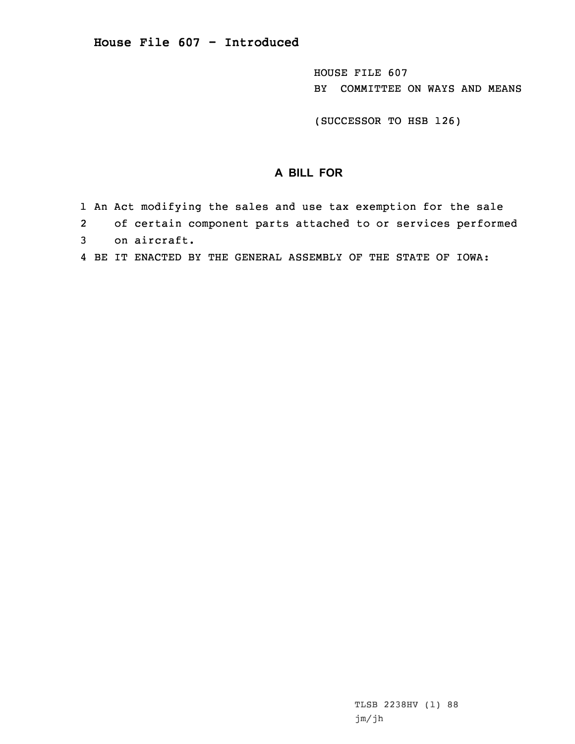HOUSE FILE 607 BY COMMITTEE ON WAYS AND MEANS

(SUCCESSOR TO HSB 126)

## **A BILL FOR**

- 1 An Act modifying the sales and use tax exemption for the sale
- 2of certain component parts attached to or services performed
- 3 on aircraft.
- 4 BE IT ENACTED BY THE GENERAL ASSEMBLY OF THE STATE OF IOWA: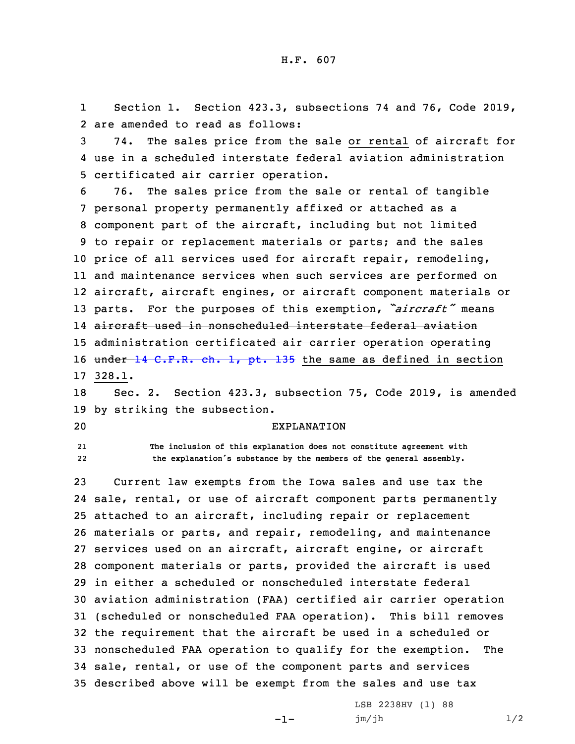1 Section 1. Section 423.3, subsections 74 and 76, Code 2019, 2 are amended to read as follows:

3 74. The sales price from the sale or rental of aircraft for 4 use in <sup>a</sup> scheduled interstate federal aviation administration 5 certificated air carrier operation.

 76. The sales price from the sale or rental of tangible personal property permanently affixed or attached as <sup>a</sup> component part of the aircraft, including but not limited to repair or replacement materials or parts; and the sales price of all services used for aircraft repair, remodeling, and maintenance services when such services are performed on aircraft, aircraft engines, or aircraft component materials or parts. For the purposes of this exemption, *"aircraft"* means aircraft used in nonscheduled interstate federal aviation administration certificated air carrier operation operating 16 under 14 [C.F.R.](https://www.law.cornell.edu/cfr/text/14/part-135) ch. 1, pt. 135 the same as defined in section 17 328.1.

18 Sec. 2. Section 423.3, subsection 75, Code 2019, is amended 19 by striking the subsection.

20 EXPLANATION

21 **The inclusion of this explanation does not constitute agreement with** 22**the explanation's substance by the members of the general assembly.**

 Current law exempts from the Iowa sales and use tax the sale, rental, or use of aircraft component parts permanently attached to an aircraft, including repair or replacement materials or parts, and repair, remodeling, and maintenance services used on an aircraft, aircraft engine, or aircraft component materials or parts, provided the aircraft is used in either <sup>a</sup> scheduled or nonscheduled interstate federal aviation administration (FAA) certified air carrier operation (scheduled or nonscheduled FAA operation). This bill removes the requirement that the aircraft be used in <sup>a</sup> scheduled or nonscheduled FAA operation to qualify for the exemption. The sale, rental, or use of the component parts and services described above will be exempt from the sales and use tax

-1-

LSB 2238HV (1) 88 jm/jh 1/2